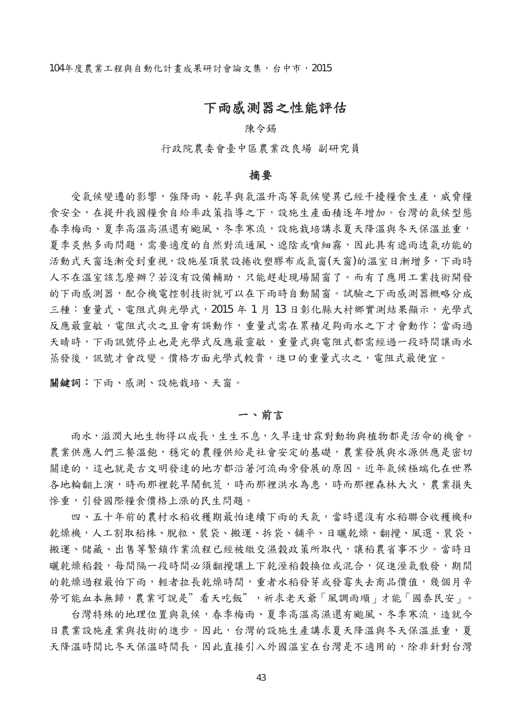# 下雨感測器之性能評估

#### 陳令錫

行政院農委會臺中區農業改良場 副研究員

#### 摘要

受氣候變遷的影響,強降雨、乾旱與氣溫升高等氣候變異已經干擾糧食生產,威脅糧 食安全,在提升我國糧食自給率政策指導之下,設施生產面積逐年增加。台灣的氣候型態 春季梅雨、夏季高溫高濕還有颱風、冬季寒流,設施栽培講求夏天降溫與冬天保溫並重, 夏季炎熱多雨問題,需要適度的自然對流通風、遮陰或噴細霧,因此具有遮雨透氣功能的 活動式天窗逐漸受到重視,設施屋頂裝設捲收塑膠布或氣窗(天窗)的溫室日漸增多,下雨時 人不在溫室該怎麼辦?若沒有設備輔助,只能趕赴現場關窗了。而有了應用工業技術開發 的下雨感測器,配合機電控制技術就可以在下雨時自動關窗。試驗之下雨感測器概略分成 三種:重量式、電阻式與光學式,2015 年 1 月 13 日彰化縣大村鄉實測結果顯示,光學式 反應最靈敏,電阻式次之且會有誤動作,重量式需在累積足夠雨水之下才會動作;當雨過 天晴時,下雨訊號停止也是光學式反應最靈敏,重量式與電阻式都需經過一段時間讓雨水 蒸發後,訊號才會改變。價格方面光學式較貴,進口的重量式次之,電阻式最便宜。

關鍵詞:下雨、感測、設施栽培、天窗。

#### 一、前言

雨水,滋潤大地生物得以成長,生生不息,久旱逢甘霖對動物與植物都是活命的機會。 農業供應人們三餐溫飽,穩定的農糧供給是社會安定的基礎,農業發展與水源供應是密切 關連的,這也就是古文明發達的地方都沿著河流兩旁發展的原因。近年氣候極端化在世界 各地輪翻上演,時而那裡乾旱鬧飢荒,時而那裡洪水為患,時而那裡森林大火,農業損失 慘重,引發國際糧食價格上漲的民生問題。

四、五十年前的農村水稻收穫期最怕連續下雨的天氣,當時還沒有水稻聯合收穫機和 乾燥機,人工割取稻株、脫粒、裝袋、搬運、拆袋、舖平、日曬乾燥、翻攪、風選、裝袋、 搬運、儲藏、出售等繁鎖作業流程已經被繳交濕穀政策所取代,讓稻農省事不少。當時日 曬乾燥稻穀,每間隔一段時間必須翻攪讓上下乾溼稻穀換位或混合,促進溼氣散發,期間 的乾燥過程最怕下雨,輕者拉長乾燥時間,重者水稻發芽或發霉失去商品價值,幾個月辛 勞可能血本無歸,農業可說是"看天吃飯",祈求老天爺「風調雨順」才能「國泰民安」。

台灣特殊的地理位置與氣候,春季梅雨、夏季高溫高濕還有颱風、冬季寒流,造就今 日農業設施產業與技術的進步。因此,台灣的設施生產講求夏天降溫與冬天保溫並重,夏 天降溫時間比冬天保溫時間長,因此直接引入外國溫室在台灣是不適用的,除非針對台灣

43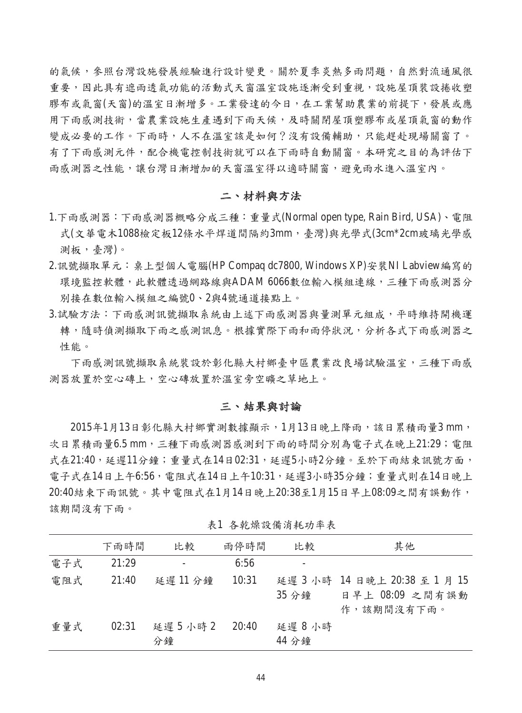的氣候,參照台灣設施發展經驗進行設計變更。關於夏季炎熱多雨問題,自然對流通風很 重要,因此具有遮雨透氣功能的活動式天窗溫室設施逐漸受到重視,設施屋頂裝設捲收塑 膠布或氣窗(天窗)的溫室日漸增多。工業發達的今日,在工業幫助農業的前提下,發展或應 用下雨感測技術,當農業設施生產遇到下雨天候,及時關閉屋頂塑膠布或屋頂氣窗的動作 變成必要的工作。下雨時,人不在溫室該是如何?沒有設備輔助,只能趕赴現場關窗了。 有了下雨感測元件,配合機電控制技術就可以在下雨時自動關窗。本研究之目的為評估下 雨感測器之性能,讓台灣日漸增加的天窗溫室得以適時關窗,避免雨水進入溫室內。

## 二、材料與方法

- 1.下雨感測器:下雨感測器概略分成三種:重量式(Normal open type, Rain Bird, USA)、電阻 式(文華電木1088檢定板12條水平焊道間隔約3mm,臺灣)與光學式(3cm\*2cm玻璃光學感 測板,臺灣)。
- 2.訊號擷取單元:桌上型個人電腦(HP Compaq dc7800, Windows XP)安裝NI Labview編寫的 環境監控軟體,此軟體透過網路線與ADAM 6066數位輸入模組連線,三種下雨感測器分 別接在數位輸入模組之編號0、2與4號通道接點上。
- 3.試驗方法:下雨感測訊號擷取系統由上述下雨感測器與量測單元組成,平時維持開機運 轉,隨時偵測擷取下雨之感測訊息。根據實際下雨和雨停狀況,分析各式下雨感測器之 性能。

下雨感測訊號擷取系統裝設於彰化縣大村鄉臺中區農業改良場試驗溫室,三種下雨感 測器放置於空心磚上,空心磚放置於溫室旁空曠之草地上。

### 三、結果與討論

2015年1月13日彰化縣大村鄉實測數據顯示,1月13日晚上降雨,該日累積雨量3 mm, 次日累積雨量6.5 mm, 三種下雨感測器感測到下雨的時間分別為電子式在晚上21:29; 電阻 式在21:40,延遲11分鐘;重量式在14日02:31,延遲5小時2分鐘。至於下雨結束訊號方面, 電子式在14日上午6:56,電阻式在14日上午10:31,延遲3小時35分鐘;重量式則在14日晚上 20:40結束下雨訊號。其中電阻式在1月14日晚上20:38至1月15日早上08:09之間有誤動作, 該期間沒有下雨。

|     | 下雨時間  | 比較              | 雨停時間  | 比較             | 其他                                                             |
|-----|-------|-----------------|-------|----------------|----------------------------------------------------------------|
| 電子式 | 21:29 |                 | 6:56  |                |                                                                |
| 電阻式 | 21:40 | 延遲11分鐘          | 10:31 | 35 分鐘          | 延遲 3 小時 14 日晚上 20:38 至 1 月 15<br>日早上 08:09 之間有誤動<br>作,該期間沒有下雨。 |
| 重量式 | 02:31 | 延遲 5 小時 2<br>分鐘 | 20:40 | 延遲8小時<br>44 分鐘 |                                                                |

表1 各乾燥設備消耗功率表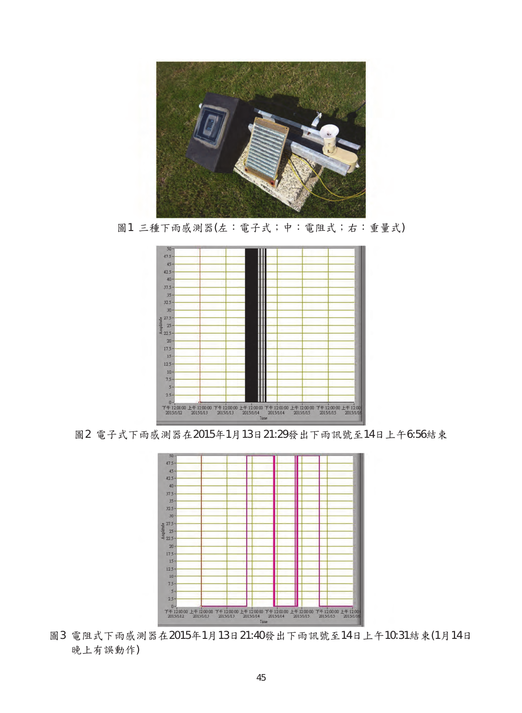

圖1 三種下雨感測器(左:電子式;中:電阻式;右:重量式)



圖2 電子式下雨感測器在2015年1月13日21:29發出下雨訊號至14日上午6:56結束



圖3 電阻式下雨感測器在2015年1月13日21:40發出下雨訊號至14日上午10:31結束(1月14日 晚上有誤動作)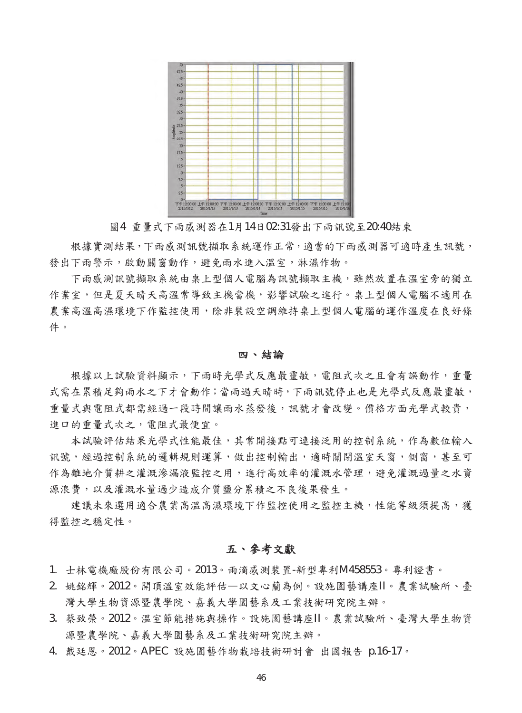

圖4 重量式下雨感測器在1月14日02:31發出下雨訊號至20:40結束

根據實測結果,下雨感測訊號擷取系統運作正常,適當的下雨感測器可適時產生訊號, 發出下雨警示,啟動關窗動作,避免雨水進入溫室,淋濕作物。

下雨感測訊號擷取系統由桌上型個人電腦為訊號擷取主機,雖然放置在溫室旁的獨立 作業室,但是夏天晴天高溫常導致主機當機,影響試驗之進行。桌上型個人電腦不適用在 農業高溫高濕環境下作監控使用,除非裝設空調維持桌上型個人電腦的運作溫度在良好條 件。

#### 四、結論

根據以上試驗資料顯示,下雨時光學式反應最靈敏,電阻式次之且會有誤動作,重量 式需在累積足夠雨水之下才會動作;當雨過天晴時,下雨訊號停止也是光學式反應最靈敏, 重量式與電阻式都需經過一段時間讓雨水蒸發後,訊號才會改變。價格方面光學式較貴, 進口的重量式次之,電阻式最便宜。

本試驗評估結果光學式性能最佳,其常開接點可連接泛用的控制系統,作為數位輸入 訊號,經過控制系統的邏輯規則運算,做出控制輸出,適時關閉溫室天窗,側窗,甚至可 作為離地介質耕之灌溉滲漏液監控之用,進行高效率的灌溉水管理,避免灌溉過量之水資 源浪費,以及灌溉水量過少造成介質鹽分累積之不良後果發生。

建議未來選用適合農業高溫高濕環境下作監控使用之監控主機,性能等級須提高,獲 得監控之穩定性。

### 五、參考文獻

- 1. 士林電機廠股份有限公司。2013。雨滴感測裝置-新型專利M458553。專利證書。
- 2. 姚銘輝。2012。開頂溫室效能評估—以文心蘭為例。設施園藝講座II。農業試驗所、臺 灣大學生物資源暨農學院、嘉義大學園藝系及工業技術研究院主辦。
- 3. 蔡致榮。2012。溫室節能措施與操作。設施園藝講座II。農業試驗所、臺灣大學生物資 源暨農學院、嘉義大學園藝系及工業技術研究院主辦。
- 4. 戴廷恩。2012。APEC 設施園藝作物栽培技術研討會 出國報告 p.16-17。